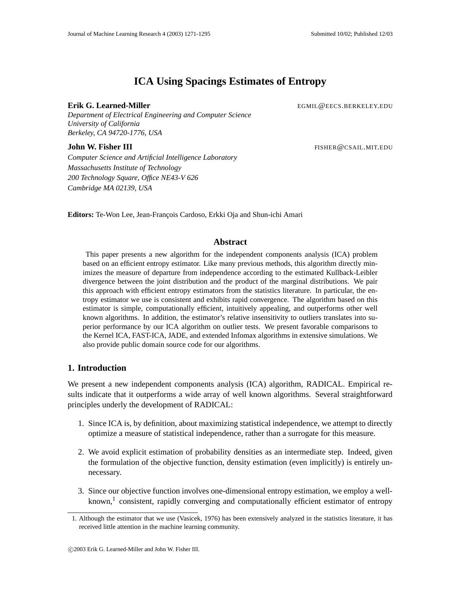# **ICA Using Spacings Estimates of Entropy**

## **Erik G. Learned-Miller** EGMIL@EECS.BERKELEY.EDU

*Department of Electrical Engineering and Computer Science University of California Berkeley, CA 94720-1776, USA*

**John W. Fisher III** FISHER@CSAIL.MIT.EDU

*Computer Science and Artificial Intelligence Laboratory Massachusetts Institute of Technology 200 Technology Square, Office NE43-V 626 Cambridge MA 02139, USA*

Editors: Te-Won Lee, Jean-François Cardoso, Erkki Oja and Shun-ichi Amari

# **Abstract**

This paper presents a new algorithm for the independent components analysis (ICA) problem based on an efficient entropy estimator. Like many previous methods, this algorithm directly minimizes the measure of departure from independence according to the estimated Kullback-Leibler divergence between the joint distribution and the product of the marginal distributions. We pair this approach with efficient entropy estimators from the statistics literature. In particular, the entropy estimator we use is consistent and exhibits rapid convergence. The algorithm based on this estimator is simple, computationally efficient, intuitively appealing, and outperforms other well known algorithms. In addition, the estimator's relative insensitivity to outliers translates into superior performance by our ICA algorithm on outlier tests. We present favorable comparisons to the Kernel ICA, FAST-ICA, JADE, and extended Infomax algorithms in extensive simulations. We also provide public domain source code for our algorithms.

# **1. Introduction**

We present a new independent components analysis (ICA) algorithm, RADICAL. Empirical results indicate that it outperforms a wide array of well known algorithms. Several straightforward principles underly the development of RADICAL:

- 1. Since ICA is, by definition, about maximizing statistical independence, we attempt to directly optimize a measure of statistical independence, rather than a surrogate for this measure.
- 2. We avoid explicit estimation of probability densities as an intermediate step. Indeed, given the formulation of the objective function, density estimation (even implicitly) is entirely unnecessary.
- 3. Since our objective function involves one-dimensional entropy estimation, we employ a wellknown,<sup>1</sup> consistent, rapidly converging and computationally efficient estimator of entropy

<sup>1.</sup> Although the estimator that we use (Vasicek, 1976) has been extensively analyzed in the statistics literature, it has received little attention in the machine learning community.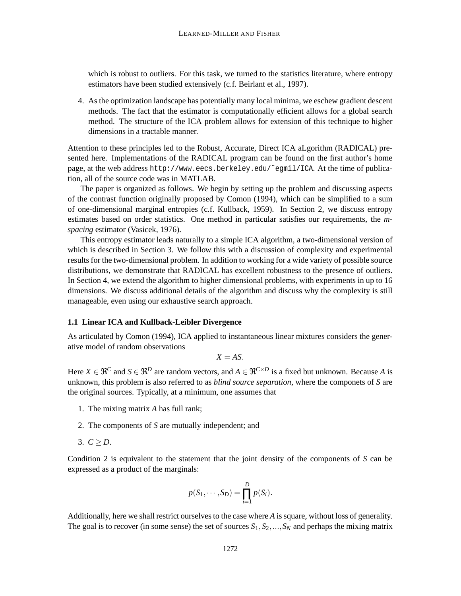which is robust to outliers. For this task, we turned to the statistics literature, where entropy estimators have been studied extensively (c.f. Beirlant et al., 1997).

4. Asthe optimization landscape has potentially many local minima, we eschew gradient descent methods. The fact that the estimator is computationally efficient allows for a global search method. The structure of the ICA problem allows for extension of this technique to higher dimensions in a tractable manner.

Attention to these principles led to the Robust, Accurate, Direct ICA aLgorithm (RADICAL) presented here. Implementations of the RADICAL program can be found on the first author's home page, at the web address http://www.eecs.berkeley.edu/˜egmil/ICA. At the time of publication, all of the source code was in MATLAB.

The paper is organized as follows. We begin by setting up the problem and discussing aspects of the contrast function originally proposed by Comon (1994), which can be simplified to a sum of one-dimensional marginal entropies (c.f. Kullback, 1959). In Section 2, we discuss entropy estimates based on order statistics. One method in particular satisfies our requirements, the *mspacing* estimator (Vasicek, 1976).

This entropy estimator leads naturally to a simple ICA algorithm, a two-dimensional version of which is described in Section 3. We follow this with a discussion of complexity and experimental results for the two-dimensional problem. In addition to working for a wide variety of possible source distributions, we demonstrate that RADICAL has excellent robustness to the presence of outliers. In Section 4, we extend the algorithm to higher dimensional problems, with experiments in up to 16 dimensions. We discuss additional details of the algorithm and discuss why the complexity is still manageable, even using our exhaustive search approach.

#### **1.1 Linear ICA and Kullback-Leibler Divergence**

As articulated by Comon (1994), ICA applied to instantaneous linear mixtures considers the generative model of random observations

 $X = AS$ .

Here  $X \in \mathfrak{R}^C$  and  $S \in \mathfrak{R}^D$  are random vectors, and  $A \in \mathfrak{R}^{C \times D}$  is a fixed but unknown. Because A is unknown, this problem is also referred to as *blind source separation*, where the componets of *S* are the original sources. Typically, at a minimum, one assumes that

- 1. The mixing matrix *A* has full rank;
- 2. The components of *S* are mutually independent; and
- 3.  $C \ge D$ .

Condition 2 is equivalent to the statement that the joint density of the components of *S* can be expressed as a product of the marginals:

$$
p(S_1,\cdots,S_D)=\prod_{i=1}^D p(S_i).
$$

Additionally, here we shall restrict ourselves to the case where *A* is square, without loss of generality. The goal is to recover (in some sense) the set of sources  $S_1, S_2, ..., S_N$  and perhaps the mixing matrix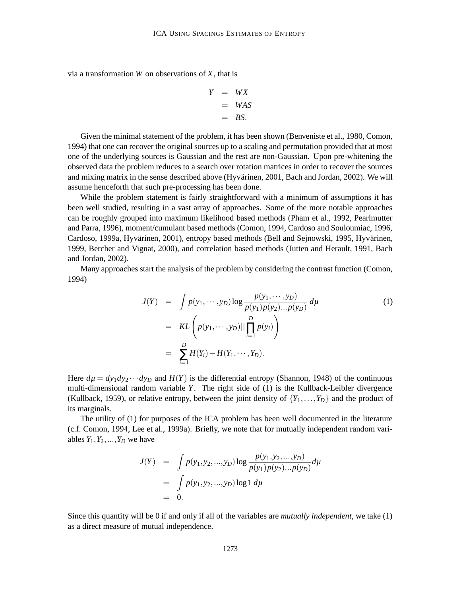via a transformation *W* on observations of *X*, that is

$$
Y = WX
$$
  
= WAS  
= BS.

Given the minimal statement of the problem, it has been shown (Benveniste et al., 1980, Comon, 1994) that one can recover the original sources up to a scaling and permutation provided that at most one of the underlying sources is Gaussian and the rest are non-Gaussian. Upon pre-whitening the observed data the problem reduces to a search over rotation matrices in order to recover the sources and mixing matrix in the sense described above (Hyvärinen, 2001, Bach and Jordan, 2002). We will assume henceforth that such pre-processing has been done.

While the problem statement is fairly straightforward with a minimum of assumptions it has been well studied, resulting in a vast array of approaches. Some of the more notable approaches can be roughly grouped into maximum likelihood based methods (Pham et al., 1992, Pearlmutter and Parra, 1996), moment/cumulant based methods (Comon, 1994, Cardoso and Souloumiac, 1996, Cardoso, 1999a, Hyvärinen, 2001), entropy based methods (Bell and Sejnowski, 1995, Hyvärinen, 1999, Bercher and Vignat, 2000), and correlation based methods (Jutten and Herault, 1991, Bach and Jordan, 2002).

Many approaches start the analysis of the problem by considering the contrast function (Comon, 1994)

$$
J(Y) = \int p(y_1, \dots, y_D) \log \frac{p(y_1, \dots, y_D)}{p(y_1)p(y_2)\dots p(y_D)} d\mu
$$
  
= 
$$
KL\left(p(y_1, \dots, y_D) || \prod_{i=1}^D p(y_i) \right)
$$
  
= 
$$
\sum_{i=1}^D H(Y_i) - H(Y_1, \dots, Y_D).
$$
 (1)

Here  $d\mu = dy_1 dy_2 \cdots dy_D$  and  $H(Y)$  is the differential entropy (Shannon, 1948) of the continuous multi-dimensional random variable *Y*. The right side of (1) is the Kullback-Leibler divergence (Kullback, 1959), or relative entropy, between the joint density of  $\{Y_1, \ldots, Y_D\}$  and the product of its marginals.

The utility of (1) for purposes of the ICA problem has been well documented in the literature (c.f. Comon, 1994, Lee et al., 1999a). Briefly, we note that for mutually independent random variables  $Y_1, Y_2, \ldots, Y_D$  we have

$$
J(Y) = \int p(y_1, y_2, ..., y_D) \log \frac{p(y_1, y_2, ..., y_D)}{p(y_1)p(y_2)...p(y_D)} d\mu
$$
  
= 
$$
\int p(y_1, y_2, ..., y_D) \log 1 d\mu
$$
  
= 0.

Since this quantity will be 0 if and only if all of the variables are *mutually independent*, we take (1) as a direct measure of mutual independence.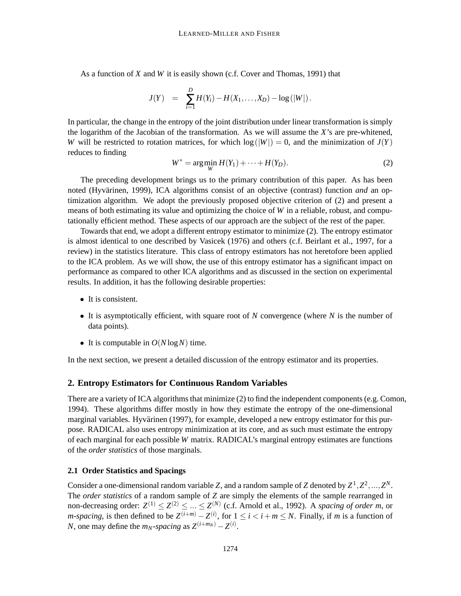As a function of *X* and *W* it is easily shown (c.f. Cover and Thomas, 1991) that

$$
J(Y) = \sum_{i=1}^{D} H(Y_i) - H(X_1, \ldots, X_D) - \log(|W|) .
$$

In particular, the change in the entropy of the joint distribution under linear transformation is simply the logarithm of the Jacobian of the transformation. As we will assume the *X*'s are pre-whitened, *W* will be restricted to rotation matrices, for which  $log(|W|) = 0$ , and the minimization of  $J(Y)$ reduces to finding

$$
W^* = \arg\min_W H(Y_1) + \dots + H(Y_D). \tag{2}
$$

The preceding development brings us to the primary contribution of this paper. As has been noted (Hyvärinen, 1999), ICA algorithms consist of an objective (contrast) function *and* an optimization algorithm. We adopt the previously proposed objective criterion of (2) and present a means of both estimating its value and optimizing the choice of *W* in a reliable, robust, and computationally efficient method. These aspects of our approach are the subject of the rest of the paper.

Towards that end, we adopt a different entropy estimator to minimize (2). The entropy estimator is almost identical to one described by Vasicek (1976) and others (c.f. Beirlant et al., 1997, for a review) in the statistics literature. This class of entropy estimators has not heretofore been applied to the ICA problem. As we will show, the use of this entropy estimator has a significant impact on performance as compared to other ICA algorithms and as discussed in the section on experimental results. In addition, it has the following desirable properties:

- It is consistent.
- It is asymptotically efficient, with square root of *N* convergence (where *N* is the number of data points).
- It is computable in  $O(N \log N)$  time.

In the next section, we present a detailed discussion of the entropy estimator and its properties.

#### **2. Entropy Estimators for Continuous Random Variables**

There are a variety of ICA algorithms that minimize  $(2)$  to find the independent components (e.g. Comon, 1994). These algorithms differ mostly in how they estimate the entropy of the one-dimensional marginal variables. Hyvärinen (1997), for example, developed a new entropy estimator for this purpose. RADICAL also uses entropy minimization at its core, and as such must estimate the entropy of each marginal for each possible *W* matrix. RADICAL's marginal entropy estimates are functions of the *order statistics* of those marginals.

### **2.1 Order Statistics and Spacings**

Consider a one-dimensional random variable *Z*, and a random sample of *Z* denoted by  $Z^1, Z^2, ..., Z^N$ . The *order statistics* of a random sample of *Z* are simply the elements of the sample rearranged in non-decreasing order:  $Z^{(1)} \leq Z^{(2)} \leq ... \leq Z^{(N)}$  (c.f. Arnold et al., 1992). A *spacing of order m*, or *m*-spacing, is then defined to be  $Z^{(i+m)} - Z^{(i)}$ , for  $1 \le i < i+m \le N$ . Finally, if *m* is a function of *N*, one may define the  $m_N$ -spacing as  $Z^{(i+m_N)} - Z^{(i)}$ .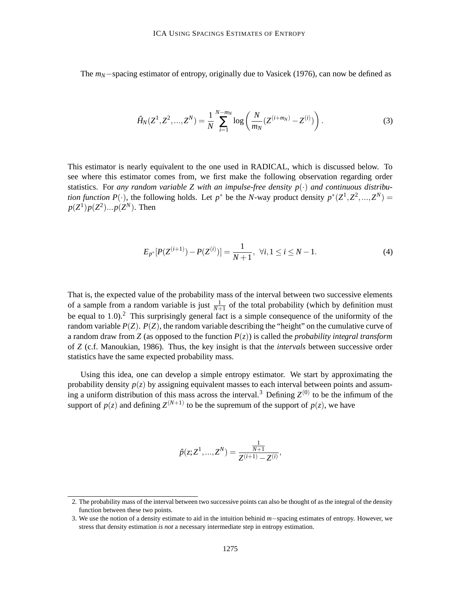The *m<sub>N</sub>*−spacing estimator of entropy, originally due to Vasicek (1976), can now be defined as

$$
\hat{H}_N(Z^1, Z^2, ..., Z^N) = \frac{1}{N} \sum_{i=1}^{N-m_N} \log \left( \frac{N}{m_N} (Z^{(i+m_N)} - Z^{(i)}) \right). \tag{3}
$$

This estimator is nearly equivalent to the one used in RADICAL, which is discussed below. To see where this estimator comes from, we first make the following observation regarding order statistics. For *any* random variable Z with an impulse-free density  $p(\cdot)$  and continuous distribu*tion function*  $P(\cdot)$ , the following holds. Let  $p^*$  be the *N*-way product density  $p^*(Z^1, Z^2, ..., Z^N)$  =  $p(Z^1)p(Z^2)...p(Z^N)$ . Then

$$
E_{p^*}[P(Z^{(i+1)}) - P(Z^{(i)})] = \frac{1}{N+1}, \ \forall i, 1 \le i \le N-1.
$$
 (4)

That is, the expected value of the probability mass of the interval between two successive elements of a sample from a random variable is just  $\frac{1}{N+1}$  of the total probability (which by definition must be equal to 1.0).<sup>2</sup> This surprisingly general fact is a simple consequence of the uniformity of the random variable  $P(Z)$ .  $P(Z)$ , the random variable describing the "height" on the cumulative curve of a random draw from *Z* (as opposed to the function  $P(z)$ ) is called the *probability integral transform* of *Z* (c.f. Manoukian, 1986). Thus, the key insight is that the *intervals* between successive order statistics have the same expected probability mass.

Using this idea, one can develop a simple entropy estimator. We start by approximating the probability density  $p(z)$  by assigning equivalent masses to each interval between points and assuming a uniform distribution of this mass across the interval.<sup>3</sup> Defining  $Z^{(0)}$  to be the infimum of the support of  $p(z)$  and defining  $Z^{(N+1)}$  to be the supremum of the support of  $p(z)$ , we have

$$
\hat{p}(z;Z^1,...,Z^N) = \frac{\frac{1}{N+1}}{Z^{(i+1)} - Z^{(i)}},
$$

<sup>2.</sup> The probability mass of the interval between two successive points can also be thought of as the integral of the density function between these two points.

<sup>3.</sup> We use the notion of a density estimate to aid in the intuition behinid *m*−spacing estimates of entropy. However, we stress that density estimation *is not* a necessary intermediate step in entropy estimation.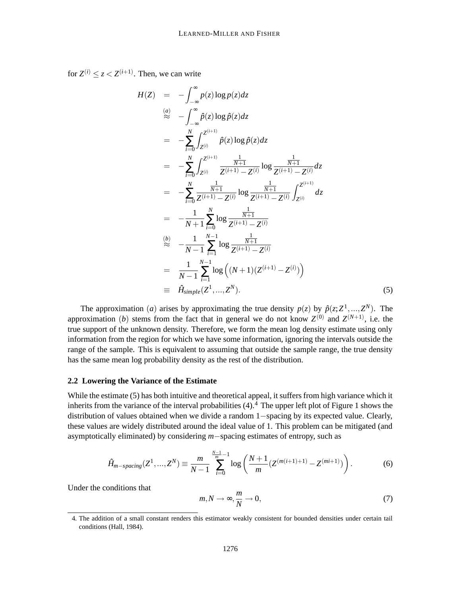for  $Z^{(i)} \leq z < Z^{(i+1)}$ . Then, we can write

$$
H(Z) = -\int_{-\infty}^{\infty} p(z) \log p(z) dz
$$
  
\n
$$
\approx -\int_{-\infty}^{\infty} \hat{p}(z) \log \hat{p}(z) dz
$$
  
\n
$$
= -\sum_{i=0}^{N} \int_{Z^{(i)}}^{Z^{(i+1)}} \hat{p}(z) \log \hat{p}(z) dz
$$
  
\n
$$
= -\sum_{i=0}^{N} \int_{Z^{(i)}}^{Z^{(i+1)}} \frac{\frac{1}{N+1}}{Z^{(i+1)} - Z^{(i)}} \log \frac{\frac{1}{N+1}}{Z^{(i+1)} - Z^{(i)}} dz
$$
  
\n
$$
= -\sum_{i=0}^{N} \frac{\frac{1}{N+1}}{Z^{(i+1)} - Z^{(i)}} \log \frac{\frac{1}{N+1}}{Z^{(i+1)} - Z^{(i)}} \int_{Z^{(i)}}^{Z^{(i+1)}} dz
$$
  
\n
$$
= -\frac{1}{N+1} \sum_{i=0}^{N} \log \frac{\frac{1}{N+1}}{Z^{(i+1)} - Z^{(i)}}
$$
  
\n
$$
\approx -\frac{1}{N-1} \sum_{i=1}^{N-1} \log \frac{\frac{1}{N+1}}{Z^{(i+1)} - Z^{(i)}}
$$
  
\n
$$
= \frac{1}{N-1} \sum_{i=1}^{N-1} \log ((N+1)(Z^{(i+1)} - Z^{(i)}))
$$
  
\n
$$
\equiv \hat{H}_{simple}(Z^1, ..., Z^N).
$$
 (5)

The approximation (*a*) arises by approximating the true density  $p(z)$  by  $\hat{p}(z;Z^1,...,Z^N)$ . The approximation (*b*) stems from the fact that in general we do not know  $Z^{(0)}$  and  $Z^{(N+1)}$ , i.e. the true support of the unknown density. Therefore, we form the mean log density estimate using only information from the region for which we have some information, ignoring the intervals outside the range of the sample. This is equivalent to assuming that outside the sample range, the true density has the same mean log probability density as the rest of the distribution.

#### **2.2 Lowering the Variance of the Estimate**

While the estimate (5) has both intuitive and theoretical appeal, it suffers from high variance which it inherits from the variance of the interval probabilities  $(4)$ .<sup>4</sup> The upper left plot of Figure 1 shows the distribution of values obtained when we divide a random 1−spacing by its expected value. Clearly, these values are widely distributed around the ideal value of 1. This problem can be mitigated (and asymptotically eliminated) by considering *m*−spacing estimates of entropy, such as

$$
\hat{H}_{m-spaceing}(Z^1,\ldots,Z^N) \equiv \frac{m}{N-1} \sum_{i=0}^{\frac{N-1}{m}-1} \log\left(\frac{N+1}{m}(Z^{(m(i+1)+1)} - Z^{(mi+1)})\right). \tag{6}
$$

Under the conditions that

$$
m, N \to \infty, \frac{m}{N} \to 0,\tag{7}
$$

<sup>4.</sup> The addition of a small constant renders this estimator weakly consistent for bounded densities under certain tail conditions (Hall, 1984).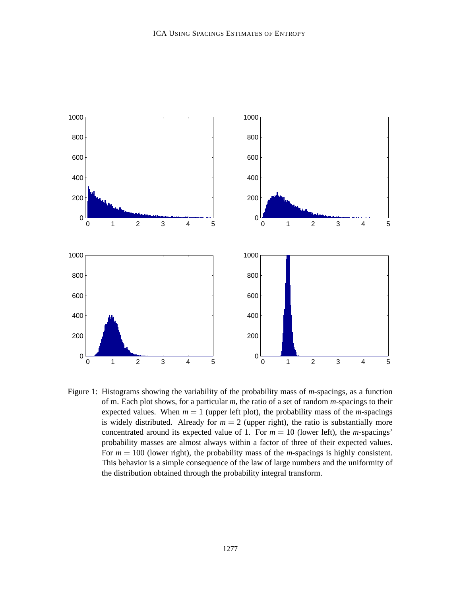

Figure 1: Histograms showing the variability of the probability mass of *m*-spacings, as a function of m. Each plot shows, for a particular *m*, the ratio of a set of random *m*-spacings to their expected values. When  $m = 1$  (upper left plot), the probability mass of the *m*-spacings is widely distributed. Already for  $m = 2$  (upper right), the ratio is substantially more concentrated around its expected value of 1. For  $m = 10$  (lower left), the *m*-spacings' probability masses are almost always within a factor of three of their expected values. For *m* = 100 (lower right), the probability mass of the *m*-spacings is highly consistent. This behavior is a simple consequence of the law of large numbers and the uniformity of the distribution obtained through the probability integral transform.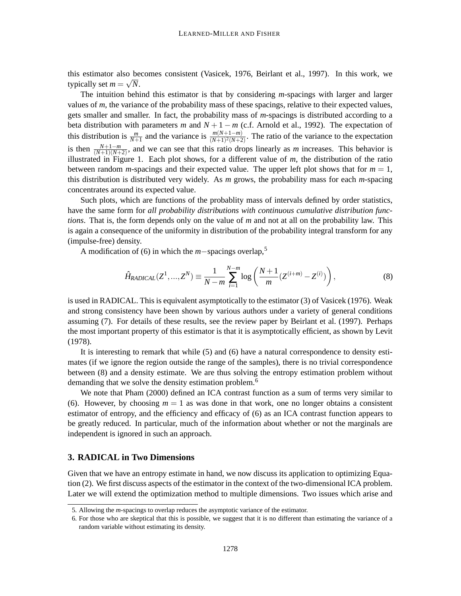this estimator also becomes consistent (Vasicek, 1976, Beirlant et al., 1997). In this work, we typically set  $m = \sqrt{N}$ .

The intuition behind this estimator is that by considering *m*-spacings with larger and larger values of *m*, the variance of the probability mass of these spacings, relative to their expected values, gets smaller and smaller. In fact, the probability mass of *m*-spacings is distributed according to a beta distribution with parameters *m* and  $N + 1 - m$  (c.f. Arnold et al., 1992). The expectation of this distribution is  $\frac{m}{N+1}$  and the variance is  $\frac{m(N+1-m)}{(N+1)^2(N+2)}$ . The ratio of the variance to the expectation is then  $\frac{N+1-m}{(N+1)(N+2)}$ , and we can see that this ratio drops linearly as *m* increases. This behavior is illustrated in Figure 1. Each plot shows, for a different value of *m*, the distribution of the ratio between random *m*-spacings and their expected value. The upper left plot shows that for  $m = 1$ , this distribution is distributed very widely. As *m* grows, the probability mass for each *m*-spacing concentrates around its expected value.

Such plots, which are functions of the probablity mass of intervals defined by order statistics, have the same form for *all probability distributions with continuous cumulative distribution functions*. That is, the form depends only on the value of *m* and not at all on the probability law. This is again a consequence of the uniformity in distribution of the probability integral transform for any (impulse-free) density.

<sup>A</sup> modification of (6) in which the *<sup>m</sup>*−spacings overlap,<sup>5</sup>

$$
\hat{H}_{RADICAL}(Z^1, ..., Z^N) \equiv \frac{1}{N - m} \sum_{i=1}^{N - m} \log \left( \frac{N + 1}{m} (Z^{(i+m)} - Z^{(i)}) \right),\tag{8}
$$

is used in RADICAL. This is equivalent asymptotically to the estimator (3) of Vasicek (1976). Weak and strong consistency have been shown by various authors under a variety of general conditions assuming (7). For details of these results, see the review paper by Beirlant et al. (1997). Perhaps the most important property of this estimator is that it is asymptotically efficient, as shown by Levit (1978).

It is interesting to remark that while (5) and (6) have a natural correspondence to density estimates (if we ignore the region outside the range of the samples), there is no trivial correspondence between (8) and a density estimate. We are thus solving the entropy estimation problem without demanding that we solve the density estimation problem.<sup>6</sup>

We note that Pham (2000) defined an ICA contrast function as a sum of terms very similar to (6). However, by choosing  $m = 1$  as was done in that work, one no longer obtains a consistent estimator of entropy, and the efficiency and efficacy of (6) as an ICA contrast function appears to be greatly reduced. In particular, much of the information about whether or not the marginals are independent is ignored in such an approach.

#### **3. RADICAL in Two Dimensions**

Given that we have an entropy estimate in hand, we now discuss its application to optimizing Equation (2). We first discuss aspects of the estimator in the context of the two-dimensional ICA problem. Later we will extend the optimization method to multiple dimensions. Two issues which arise and

<sup>5.</sup> Allowing the *m*-spacings to overlap reduces the asymptotic variance of the estimator.

<sup>6.</sup> For those who are skeptical that this is possible, we suggest that it is no different than estimating the variance of a random variable without estimating its density.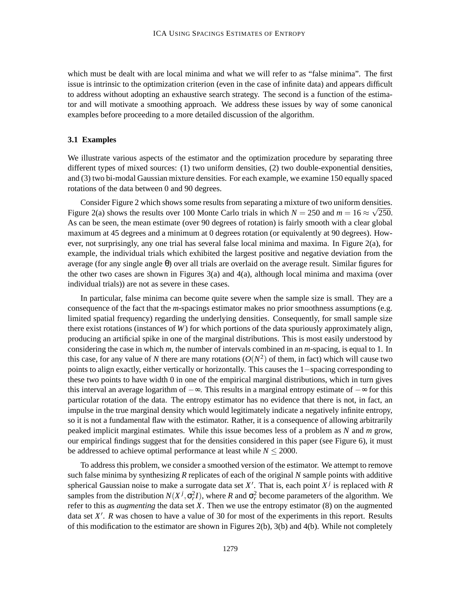which must be dealt with are local minima and what we will refer to as "false minima". The first issue is intrinsic to the optimization criterion (even in the case of infinite data) and appears difficult to address without adopting an exhaustive search strategy. The second is a function of the estimator and will motivate a smoothing approach. We address these issues by way of some canonical examples before proceeding to a more detailed discussion of the algorithm.

#### **3.1 Examples**

We illustrate various aspects of the estimator and the optimization procedure by separating three different types of mixed sources: (1) two uniform densities, (2) two double-exponential densities, and (3) two bi-modal Gaussian mixture densities. For each example, we examine 150 equally spaced rotations of the data between 0 and 90 degrees.

Consider Figure 2 which shows some results from separating a mixture of two uniform densities. Figure 2(a) shows the results over 100 Monte Carlo trials in which  $N = 250$  and  $m = 16 \approx \sqrt{250}$ . As can be seen, the mean estimate (over 90 degrees of rotation) is fairly smooth with a clear global maximum at 45 degrees and a minimum at 0 degrees rotation (or equivalently at 90 degrees). However, not surprisingly, any one trial has several false local minima and maxima. In Figure 2(a), for example, the individual trials which exhibited the largest positive and negative deviation from the average (for any single angle θ) over all trials are overlaid on the average result. Similar figures for the other two cases are shown in Figures  $3(a)$  and  $4(a)$ , although local minima and maxima (over individual trials)) are not as severe in these cases.

In particular, false minima can become quite severe when the sample size is small. They are a consequence of the fact that the *m*-spacings estimator makes no prior smoothness assumptions (e.g. limited spatial frequency) regarding the underlying densities. Consequently, for small sample size there exist rotations (instances of *W*) for which portions of the data spuriously approximately align, producing an artificial spike in one of the marginal distributions. This is most easily understood by considering the case in which *m*, the number of intervals combined in an *m*-spacing, is equal to 1. In this case, for any value of *N* there are many rotations  $(O(N^2))$  of them, in fact) which will cause two points to align exactly, either vertically or horizontally. This causes the 1−spacing corresponding to these two points to have width 0 in one of the empirical marginal distributions, which in turn gives this interval an average logarithm of −∞. This results in a marginal entropy estimate of −∞ for this particular rotation of the data. The entropy estimator has no evidence that there is not, in fact, an impulse in the true marginal density which would legitimately indicate a negatively infinite entropy, so it is not a fundamental flaw with the estimator. Rather, it is a consequence of allowing arbitrarily peaked implicit marginal estimates. While this issue becomes less of a problem as *N* and *m* grow, our empirical findings suggest that for the densities considered in this paper (see Figure 6), it must be addressed to achieve optimal performance at least while  $N \leq 2000$ .

To address this problem, we consider a smoothed version of the estimator. We attempt to remove such false minima by synthesizing *R* replicates of each of the original *N* sample points with additive spherical Gaussian noise to make a surrogate data set  $X'$ . That is, each point  $X^j$  is replaced with  $R$ samples from the distribution  $N(X^j, \sigma_r^2 I)$ , where *R* and  $\sigma_r^2$  become parameters of the algorithm. We refer to this as *augmenting* the data set *X*. Then we use the entropy estimator (8) on the augmented data set X'. *R* was chosen to have a value of 30 for most of the experiments in this report. Results of this modification to the estimator are shown in Figures 2(b), 3(b) and 4(b). While not completely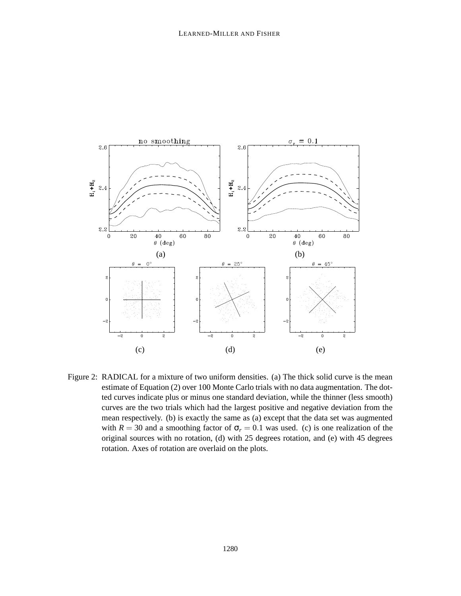

Figure 2: RADICAL for a mixture of two uniform densities. (a) The thick solid curve is the mean estimate of Equation (2) over 100 Monte Carlo trials with no data augmentation. The dotted curves indicate plus or minus one standard deviation, while the thinner (less smooth) curves are the two trials which had the largest positive and negative deviation from the mean respectively. (b) is exactly the same as (a) except that the data set was augmented with  $R = 30$  and a smoothing factor of  $\sigma_r = 0.1$  was used. (c) is one realization of the original sources with no rotation, (d) with 25 degrees rotation, and (e) with 45 degrees rotation. Axes of rotation are overlaid on the plots.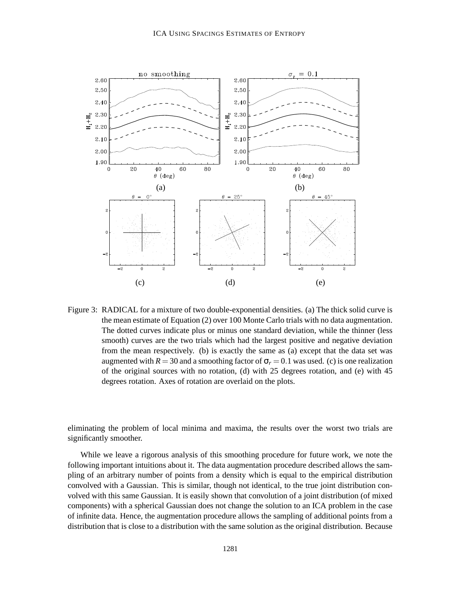

Figure 3: RADICAL for a mixture of two double-exponential densities. (a) The thick solid curve is the mean estimate of Equation (2) over 100 Monte Carlo trials with no data augmentation. The dotted curves indicate plus or minus one standard deviation, while the thinner (less smooth) curves are the two trials which had the largest positive and negative deviation from the mean respectively. (b) is exactly the same as (a) except that the data set was augmented with  $R = 30$  and a smoothing factor of  $\sigma_r = 0.1$  was used. (c) is one realization of the original sources with no rotation, (d) with 25 degrees rotation, and (e) with 45 degrees rotation. Axes of rotation are overlaid on the plots.

eliminating the problem of local minima and maxima, the results over the worst two trials are significantly smoother.

While we leave a rigorous analysis of this smoothing procedure for future work, we note the following important intuitions about it. The data augmentation procedure described allows the sampling of an arbitrary number of points from a density which is equal to the empirical distribution convolved with a Gaussian. This is similar, though not identical, to the true joint distribution convolved with this same Gaussian. It is easily shown that convolution of a joint distribution (of mixed components) with a spherical Gaussian does not change the solution to an ICA problem in the case of infinite data. Hence, the augmentation procedure allows the sampling of additional points from a distribution that is close to a distribution with the same solution as the original distribution. Because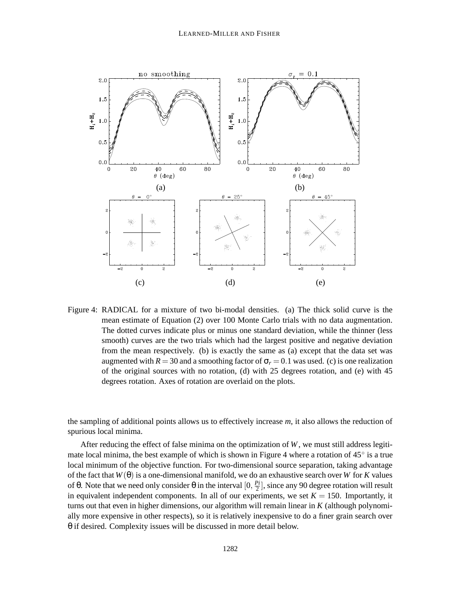

Figure 4: RADICAL for a mixture of two bi-modal densities. (a) The thick solid curve is the mean estimate of Equation (2) over 100 Monte Carlo trials with no data augmentation. The dotted curves indicate plus or minus one standard deviation, while the thinner (less smooth) curves are the two trials which had the largest positive and negative deviation from the mean respectively. (b) is exactly the same as (a) except that the data set was augmented with  $R = 30$  and a smoothing factor of  $\sigma_r = 0.1$  was used. (c) is one realization of the original sources with no rotation, (d) with 25 degrees rotation, and (e) with 45 degrees rotation. Axes of rotation are overlaid on the plots.

the sampling of additional points allows us to effectively increase *m*, it also allows the reduction of spurious local minima.

After reducing the effect of false minima on the optimization of *W*, we must still address legitimate local minima, the best example of which is shown in Figure 4 where a rotation of  $45^{\circ}$  is a true local minimum of the objective function. For two-dimensional source separation, taking advantage of the fact that *W*(θ) is a one-dimensional manifold, we do an exhaustive search over *W* for *K* values of θ. Note that we need only consider θ in the interval  $[0, \frac{P_i}{2}]$  $\frac{\mu_l}{2}$ , since any 90 degree rotation will result in equivalent independent components. In all of our experiments, we set  $K = 150$ . Importantly, it turns out that even in higher dimensions, our algorithm will remain linear in *K* (although polynomially more expensive in other respects), so it is relatively inexpensive to do a finer grain search over θ if desired. Complexity issues will be discussed in more detail below.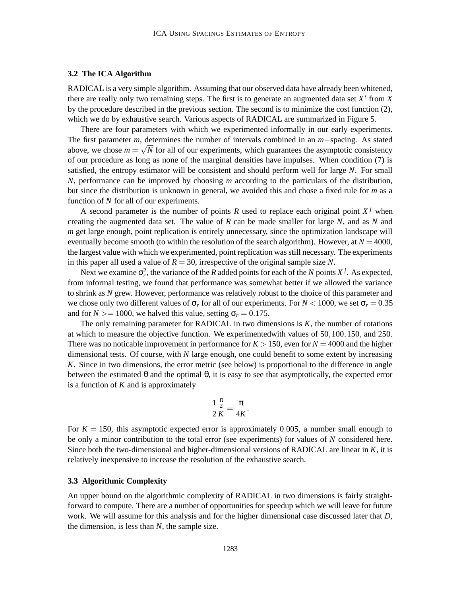#### **3.2 The ICA Algorithm**

RADICAL is a very simple algorithm. Assuming that our observed data have already been whitened, there are really only two remaining steps. The first is to generate an augmented data set  $X'$  from  $X$ by the procedure described in the previous section. The second is to minimize the cost function (2), which we do by exhaustive search. Various aspects of RADICAL are summarized in Figure 5.

There are four parameters with which we experimented informally in our early experiments. The first parameter *m*, determines the number of intervals combined in an *m*−spacing. As stated above, we chose  $m = \sqrt{N}$  for all of our experiments, which guarantees the asymptotic consistency of our procedure as long as none of the marginal densities have impulses. When condition (7) is satisfied, the entropy estimator will be consistent and should perform well for large *N*. For small *N*, performance can be improved by choosing *m* according to the particulars of the distribution, but since the distribution is unknown in general, we avoided this and chose a fixed rule for *m* as a function of *N* for all of our experiments.

A second parameter is the number of points *R* used to replace each original point  $X<sup>j</sup>$  when creating the augmented data set. The value of *R* can be made smaller for large *N*, and as *N* and *m* get large enough, point replication is entirely unnecessary, since the optimization landscape will eventually become smooth (to within the resolution of the search algorithm). However, at  $N = 4000$ , the largest value with which we experimented, point replication was still necessary. The experiments in this paper all used a value of  $R = 30$ , irrespective of the original sample size N.

Next we examine  $\sigma_r^2$ , the variance of the *R* added points for each of the *N* points  $X^j$ . As expected, from informal testing, we found that performance was somewhat better if we allowed the variance to shrink as *N* grew. However, performance was relatively robust to the choice of this parameter and we chose only two different values of  $\sigma_r$  for all of our experiments. For  $N < 1000$ , we set  $\sigma_r = 0.35$ and for  $N \ge 1000$ , we halved this value, setting  $\sigma_r = 0.175$ .

The only remaining parameter for RADICAL in two dimensions is *K*, the number of rotations at which to measure the objective function. We experimentedwith values of 50,100,150, and 250. There was no noticable improvement in performance for  $K > 150$ , even for  $N = 4000$  and the higher dimensional tests. Of course, with *N* large enough, one could benefit to some extent by increasing *K*. Since in two dimensions, the error metric (see below) is proportional to the difference in angle between the estimated  $\theta$  and the optimal  $\theta$ , it is easy to see that asymptotically, the expected error is a function of *K* and is approximately

$$
\frac{1}{2}\frac{\frac{\pi}{2}}{K}=\frac{\pi}{4K}.
$$

For  $K = 150$ , this asymptotic expected error is approximately 0.005, a number small enough to be only a minor contribution to the total error (see experiments) for values of *N* considered here. Since both the two-dimensional and higher-dimensional versions of RADICAL are linear in *K*, it is relatively inexpensive to increase the resolution of the exhaustive search.

### **3.3 Algorithmic Complexity**

An upper bound on the algorithmic complexity of RADICAL in two dimensions is fairly straightforward to compute. There are a number of opportunities for speedup which we will leave for future work. We will assume for this analysis and for the higher dimensional case discussed later that *D*, the dimension, is less than *N*, the sample size.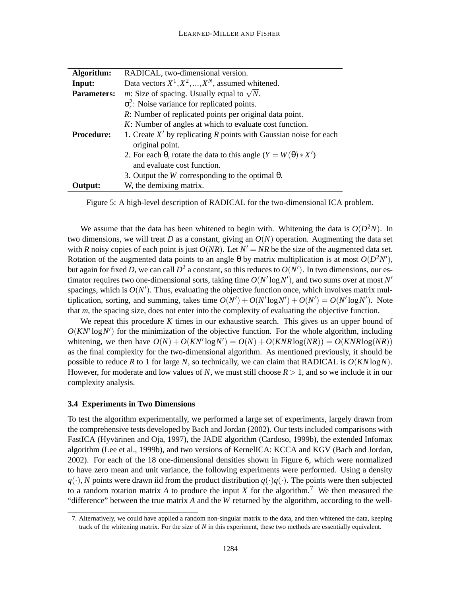| Algorithm:         | RADICAL, two-dimensional version.                                                      |  |  |  |  |  |  |
|--------------------|----------------------------------------------------------------------------------------|--|--|--|--|--|--|
| Input:             | Data vectors $X^1, X^2, , X^N$ , assumed whitened.                                     |  |  |  |  |  |  |
| <b>Parameters:</b> | <i>m</i> : Size of spacing. Usually equal to $\sqrt{N}$ .                              |  |  |  |  |  |  |
|                    | $\sigma_r^2$ : Noise variance for replicated points.                                   |  |  |  |  |  |  |
|                    | R: Number of replicated points per original data point.                                |  |  |  |  |  |  |
|                    | K: Number of angles at which to evaluate cost function.                                |  |  |  |  |  |  |
| <b>Procedure:</b>  | 1. Create $X'$ by replicating R points with Gaussian noise for each<br>original point. |  |  |  |  |  |  |
|                    | 2. For each $\theta$ , rotate the data to this angle $(Y = W(\theta) * X')$            |  |  |  |  |  |  |
|                    | and evaluate cost function.                                                            |  |  |  |  |  |  |
|                    | 3. Output the <i>W</i> corresponding to the optimal $\theta$ .                         |  |  |  |  |  |  |
| Output:            | W, the demixing matrix.                                                                |  |  |  |  |  |  |

Figure 5: A high-level description of RADICAL for the two-dimensional ICA problem.

We assume that the data has been whitened to begin with. Whitening the data is  $O(D^2N)$ . In two dimensions, we will treat *D* as a constant, giving an  $O(N)$  operation. Augmenting the data set with *R* noisy copies of each point is just  $O(NR)$ . Let  $N' = NR$  be the size of the augmented data set. Rotation of the augmented data points to an angle  $\theta$  by matrix multiplication is at most  $O(D^2N')$ , but again for fixed *D*, we can call  $D^2$  a constant, so this reduces to  $O(N')$ . In two dimensions, our estimator requires two one-dimensional sorts, taking time  $O(N' \log N')$ , and two sums over at most  $N'$ spacings, which is  $O(N')$ . Thus, evaluating the objective function once, which involves matrix multiplication, sorting, and summing, takes time  $O(N') + O(N' \log N') + O(N') = O(N' \log N')$ . Note that *m*, the spacing size, does not enter into the complexity of evaluating the objective function.

We repeat this procedure K times in our exhaustive search. This gives us an upper bound of  $O(KN' \log N')$  for the minimization of the objective function. For the whole algorithm, including whitening, we then have  $O(N) + O(KN' \log N') = O(N) + O(KNR \log(NR)) = O(KNR \log(NR))$ as the final complexity for the two-dimensional algorithm. As mentioned previously, it should be possible to reduce *R* to 1 for large *N*, so technically, we can claim that RADICAL is  $O(KN \log N)$ . However, for moderate and low values of N, we must still choose  $R > 1$ , and so we include it in our complexity analysis.

#### **3.4 Experiments in Two Dimensions**

To test the algorithm experimentally, we performed a large set of experiments, largely drawn from the comprehensive tests developed by Bach and Jordan (2002). Our tests included comparisons with FastICA (Hyvärinen and Oja, 1997), the JADE algorithm (Cardoso, 1999b), the extended Infomax algorithm (Lee et al., 1999b), and two versions of KernelICA: KCCA and KGV (Bach and Jordan, 2002). For each of the 18 one-dimensional densities shown in Figure 6, which were normalized to have zero mean and unit variance, the following experiments were performed. Using a density  $q(\cdot)$ , *N* points were drawn iid from the product distribution  $q(\cdot)q(\cdot)$ . The points were then subjected to a random rotation matrix  $A$  to produce the input  $X$  for the algorithm.<sup>7</sup> We then measured the "difference" between the true matrix *A* and the *W* returned by the algorithm, according to the well-

<sup>7.</sup> Alternatively, we could have applied a random non-singular matrix to the data, and then whitened the data, keeping track of the whitening matrix. For the size of *N* in this experiment, these two methods are essentially equivalent.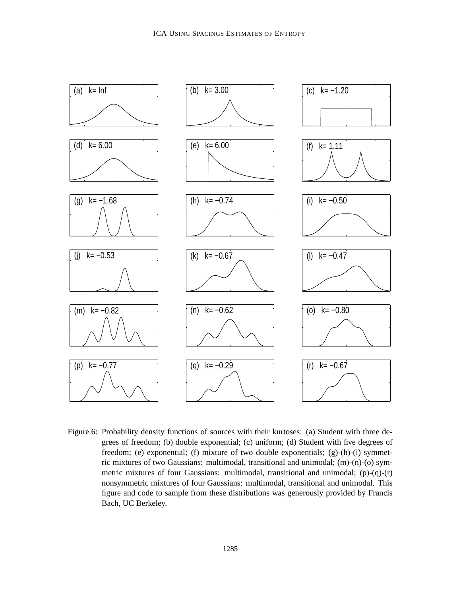

Figure 6: Probability density functions of sources with their kurtoses: (a) Student with three degrees of freedom; (b) double exponential; (c) uniform; (d) Student with five degrees of freedom; (e) exponential; (f) mixture of two double exponentials; (g)-(h)-(i) symmetric mixtures of two Gaussians: multimodal, transitional and unimodal; (m)-(n)-(o) symmetric mixtures of four Gaussians: multimodal, transitional and unimodal;  $(p)-(q)-(r)$ nonsymmetric mixtures of four Gaussians: multimodal, transitional and unimodal. This figure and code to sample from these distributions was generously provided by Francis Bach, UC Berkeley.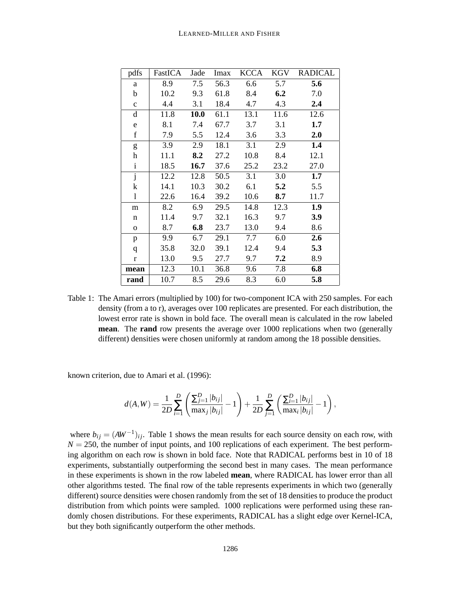#### LEARNED-MILLER AND FISHER

| pdfs                    | FastICA | Jade | Imax | KCCA | KGV  | <b>RADICAL</b> |
|-------------------------|---------|------|------|------|------|----------------|
| a                       | 8.9     | 7.5  | 56.3 | 6.6  | 5.7  | 5.6            |
| b                       | 10.2    | 9.3  | 61.8 | 8.4  | 6.2  | 7.0            |
| $\mathbf c$             | 4.4     | 3.1  | 18.4 | 4.7  | 4.3  | 2.4            |
| d                       | 11.8    | 10.0 | 61.1 | 13.1 | 11.6 | 12.6           |
| e                       | 8.1     | 7.4  | 67.7 | 3.7  | 3.1  | 1.7            |
| $\mathbf f$             | 7.9     | 5.5  | 12.4 | 3.6  | 3.3  | 2.0            |
| g                       | 3.9     | 2.9  | 18.1 | 3.1  | 2.9  | 1.4            |
| h                       | 11.1    | 8.2  | 27.2 | 10.8 | 8.4  | 12.1           |
| $\mathbf{i}$            | 18.5    | 16.7 | 37.6 | 25.2 | 23.2 | 27.0           |
| $\overline{\mathbf{j}}$ | 12.2    | 12.8 | 50.5 | 3.1  | 3.0  | 1.7            |
| k                       | 14.1    | 10.3 | 30.2 | 6.1  | 5.2  | 5.5            |
| 1                       | 22.6    | 16.4 | 39.2 | 10.6 | 8.7  | 11.7           |
| m                       | 8.2     | 6.9  | 29.5 | 14.8 | 12.3 | 1.9            |
| n                       | 11.4    | 9.7  | 32.1 | 16.3 | 9.7  | 3.9            |
| $\Omega$                | 8.7     | 6.8  | 23.7 | 13.0 | 9.4  | 8.6            |
| p                       | 9.9     | 6.7  | 29.1 | 7.7  | 6.0  | 2.6            |
| q                       | 35.8    | 32.0 | 39.1 | 12.4 | 9.4  | 5.3            |
| $\mathbf{r}$            | 13.0    | 9.5  | 27.7 | 9.7  | 7.2  | 8.9            |
| mean                    | 12.3    | 10.1 | 36.8 | 9.6  | 7.8  | 6.8            |
| rand                    | 10.7    | 8.5  | 29.6 | 8.3  | 6.0  | 5.8            |

Table 1: The Amari errors (multiplied by 100) for two-component ICA with 250 samples. For each density (from a to r), averages over 100 replicates are presented. For each distribution, the lowest error rate is shown in bold face. The overall mean is calculated in the row labeled **mean.** The **rand** row presents the average over 1000 replications when two (generally different) densities were chosen uniformly at random among the 18 possible densities.

known criterion, due to Amari et al. (1996):

$$
d(A, W) = \frac{1}{2D} \sum_{i=1}^{D} \left( \frac{\sum_{j=1}^{D} |b_{ij}|}{\max_{j} |b_{ij}|} - 1 \right) + \frac{1}{2D} \sum_{j=1}^{D} \left( \frac{\sum_{i=1}^{D} |b_{ij}|}{\max_{i} |b_{ij}|} - 1 \right),
$$

where  $b_{ij} = (AW^{-1})_{ij}$ . Table 1 shows the mean results for each source density on each row, with  $N = 250$ , the number of input points, and 100 replications of each experiment. The best performing algorithm on each row is shown in bold face. Note that RADICAL performs best in 10 of 18 experiments, substantially outperforming the second best in many cases. The mean performance in these experiments is shown in the row labeled **mean**, where RADICAL has lower error than all other algorithms tested. The final row of the table represents experiments in which two (generally different) source densities were chosen randomly from the set of 18 densities to produce the product distribution from which points were sampled. 1000 replications were performed using these randomly chosen distributions. For these experiments, RADICAL has a slight edge over Kernel-ICA, but they both significantly outperform the other methods.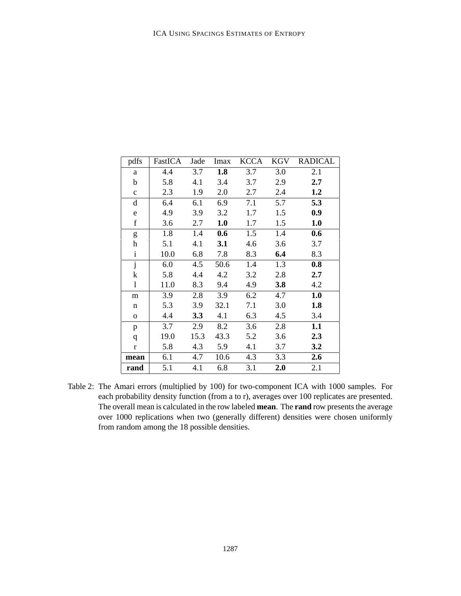| pdfs                      | FastICA | Jade | Imax             | KCCA | KGV | <b>RADICAL</b> |
|---------------------------|---------|------|------------------|------|-----|----------------|
| a                         | 4.4     | 3.7  | 1.8              | 3.7  | 3.0 | 2.1            |
| b                         | 5.8     | 4.1  | 3.4              | 3.7  | 2.9 | 2.7            |
| $\mathbf{c}$              | 2.3     | 1.9  | 2.0              | 2.7  | 2.4 | 1.2            |
| $\mathbf d$               | 6.4     | 6.1  | 6.9              | 7.1  | 5.7 | 5.3            |
| e                         | 4.9     | 3.9  | 3.2              | 1.7  | 1.5 | 0.9            |
| $\mathbf f$               | 3.6     | 2.7  | 1.0              | 1.7  | 1.5 | 1.0            |
| g                         | 1.8     | 1.4  | 0.6              | 1.5  | 1.4 | 0.6            |
| $\boldsymbol{\mathrm{h}}$ | 5.1     | 4.1  | 3.1              | 4.6  | 3.6 | 3.7            |
| $\mathbf{i}$              | 10.0    | 6.8  | 7.8              | 8.3  | 6.4 | 8.3            |
| $\overline{\mathbf{j}}$   | 6.0     | 4.5  | 50.6             | 1.4  | 1.3 | 0.8            |
| k                         | 5.8     | 4.4  | 4.2              | 3.2  | 2.8 | 2.7            |
| $\mathbf{1}$              | 11.0    | 8.3  | 9.4              | 4.9  | 3.8 | 4.2            |
| m                         | 3.9     | 2.8  | $\overline{3.9}$ | 6.2  | 4.7 | 1.0            |
| n                         | 5.3     | 3.9  | 32.1             | 7.1  | 3.0 | 1.8            |
| $\mathbf{o}$              | 4.4     | 3.3  | 4.1              | 6.3  | 4.5 | 3.4            |
| p                         | 3.7     | 2.9  | 8.2              | 3.6  | 2.8 | 1.1            |
| q                         | 19.0    | 15.3 | 43.3             | 5.2  | 3.6 | 2.3            |
| $\mathbf{r}$              | 5.8     | 4.3  | 5.9              | 4.1  | 3.7 | 3.2            |
| mean                      | 6.1     | 4.7  | 10.6             | 4.3  | 3.3 | 2.6            |
| rand                      | 5.1     | 4.1  | 6.8              | 3.1  | 2.0 | 2.1            |

Table 2: The Amari errors (multiplied by 100) for two-component ICA with 1000 samples. For each probability density function (from a to r), averages over 100 replicates are presented. The overall mean is calculated in the row labeled **mean**. The **rand** row presents the average over 1000 replications when two (generally different) densities were chosen uniformly from random among the 18 possible densities.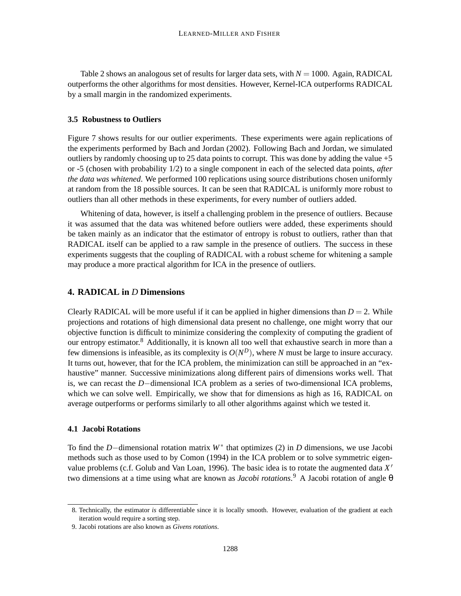Table 2 shows an analogous set of results for larger data sets, with  $N = 1000$ . Again, RADICAL outperforms the other algorithms for most densities. However, Kernel-ICA outperforms RADICAL by a small margin in the randomized experiments.

### **3.5 Robustness to Outliers**

Figure 7 shows results for our outlier experiments. These experiments were again replications of the experiments performed by Bach and Jordan (2002). Following Bach and Jordan, we simulated outliers by randomly choosing up to 25 data points to corrupt. This was done by adding the value +5 or -5 (chosen with probability 1/2) to a single component in each of the selected data points, *after the data was whitened*. We performed 100 replications using source distributions chosen uniformly at random from the 18 possible sources. It can be seen that RADICAL is uniformly more robust to outliers than all other methods in these experiments, for every number of outliers added.

Whitening of data, however, is itself a challenging problem in the presence of outliers. Because it was assumed that the data was whitened before outliers were added, these experiments should be taken mainly as an indicator that the estimator of entropy is robust to outliers, rather than that RADICAL itself can be applied to a raw sample in the presence of outliers. The success in these experiments suggests that the coupling of RADICAL with a robust scheme for whitening a sample may produce a more practical algorithm for ICA in the presence of outliers.

### **4. RADICAL in** *D* **Dimensions**

Clearly RADICAL will be more useful if it can be applied in higher dimensions than  $D = 2$ . While projections and rotations of high dimensional data present no challenge, one might worry that our objective function is difficult to minimize considering the complexity of computing the gradient of our entropy estimator.<sup>8</sup> Additionally, it is known all too well that exhaustive search in more than a few dimensions is infeasible, as its complexity is  $O(N^D)$ , where *N* must be large to insure accuracy. It turns out, however, that for the ICA problem, the minimization can still be approached in an "exhaustive" manner. Successive minimizations along different pairs of dimensions works well. That is, we can recast the *D*−dimensional ICA problem as a series of two-dimensional ICA problems, which we can solve well. Empirically, we show that for dimensions as high as 16, RADICAL on average outperforms or performs similarly to all other algorithms against which we tested it.

#### **4.1 Jacobi Rotations**

To find the *D*−dimensional rotation matrix  $W^*$  that optimizes (2) in *D* dimensions, we use Jacobi methods such as those used to by Comon (1994) in the ICA problem or to solve symmetric eigenvalue problems (c.f. Golub and Van Loan, 1996). The basic idea is to rotate the augmented data *X* 0 two dimensions at a time using what are known as *Jacobi rotations*. <sup>9</sup> A Jacobi rotation of angle θ

<sup>8.</sup> Technically, the estimator *is* differentiable since it is locally smooth. However, evaluation of the gradient at each iteration would require a sorting step.

<sup>9.</sup> Jacobi rotations are also known as *Givens rotations*.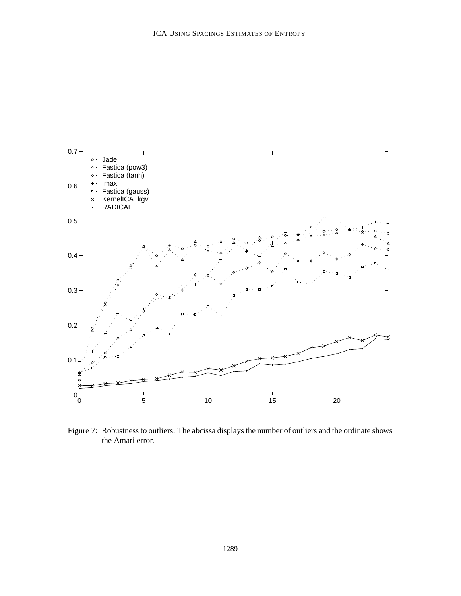

Figure 7: Robustness to outliers. The abcissa displays the number of outliers and the ordinate shows the Amari error.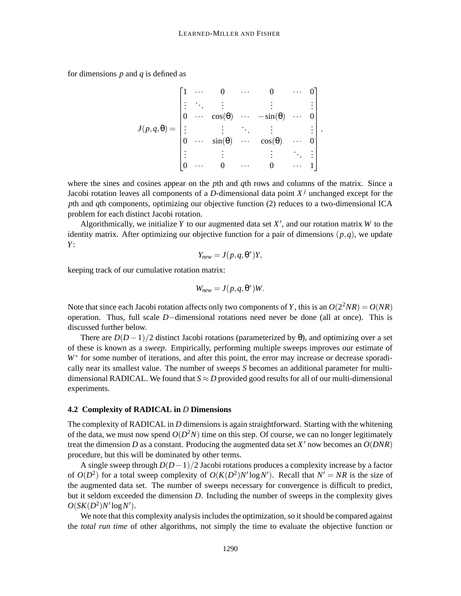for dimensions *p* and *q* is defined as

$$
J(p,q,\theta) = \begin{bmatrix} 1 & \cdots & 0 & \cdots & 0 & \cdots & 0 \\ \vdots & \ddots & \vdots & & \vdots & & \vdots \\ 0 & \cdots & \cos(\theta) & \cdots & -\sin(\theta) & \cdots & 0 \\ \vdots & & \vdots & \ddots & \vdots & & \vdots \\ 0 & \cdots & \sin(\theta) & \cdots & \cos(\theta) & \cdots & 0 \\ \vdots & & \vdots & & \vdots & \ddots & \vdots \\ 0 & \cdots & 0 & \cdots & 0 & \cdots & 1 \end{bmatrix},
$$

where the sines and cosines appear on the *p*th and *q*th rows and columns of the matrix. Since a Jacobi rotation leaves all components of a *D*-dimensional data point *X <sup>j</sup>* unchanged except for the *p*th and *q*th components, optimizing our objective function (2) reduces to a two-dimensional ICA problem for each distinct Jacobi rotation.

Algorithmically, we initialize Y to our augmented data set  $X'$ , and our rotation matrix W to the identity matrix. After optimizing our objective function for a pair of dimensions  $(p,q)$ , we update *Y*:

$$
Y_{new} = J(p, q, \theta^*)Y,
$$

keeping track of our cumulative rotation matrix:

$$
W_{new} = J(p, q, \theta^*)W.
$$

Note that since each Jacobi rotation affects only two components of *Y*, this is an  $O(2^2NR) = O(NR)$ operation. Thus, full scale *D*−dimensional rotations need never be done (all at once). This is discussed further below.

There are  $D(D-1)/2$  distinct Jacobi rotations (parameterized by  $\theta$ ), and optimizing over a set of these is known as a *sweep*. Empirically, performing multiple sweeps improves our estimate of *W*<sup>\*</sup> for some number of iterations, and after this point, the error may increase or decrease sporadically near its smallest value. The number of sweeps *S* becomes an additional parameter for multidimensional RADICAL. We found that  $S \approx D$  provided good results for all of our multi-dimensional experiments.

#### **4.2 Complexity of RADICAL in** *D* **Dimensions**

The complexity of RADICAL in *D* dimensions is again straightforward. Starting with the whitening of the data, we must now spend  $O(D^2N)$  time on this step. Of course, we can no longer legitimately treat the dimension *D* as a constant. Producing the augmented data set  $X'$  now becomes an  $O(DNR)$ procedure, but this will be dominated by other terms.

A single sweep through *D*(*D*−1)/2 Jacobi rotations produces a complexity increase by a factor of  $O(D^2)$  for a total sweep complexity of  $O(K(D^2)N' \log N')$ . Recall that  $N' = NR$  is the size of the augmented data set. The number of sweeps necessary for convergence is difficult to predict, but it seldom exceeded the dimension *D*. Including the number of sweeps in the complexity gives  $O(SK(D^2)N'log N').$ 

We note that this complexity analysis includes the optimization, so it should be compared against the *total run time* of other algorithms, not simply the time to evaluate the objective function or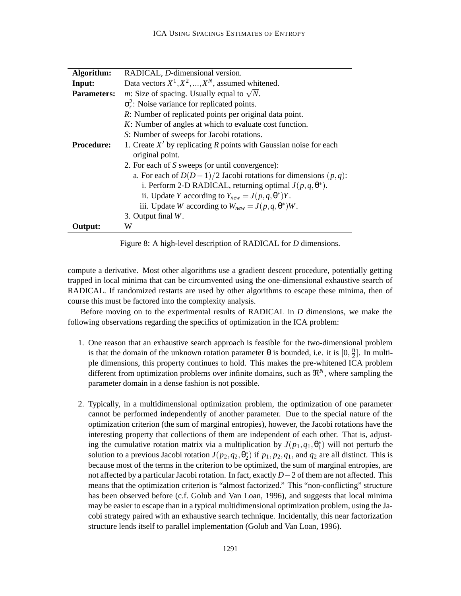| Algorithm:         | RADICAL, D-dimensional version.                                     |  |  |  |  |  |  |
|--------------------|---------------------------------------------------------------------|--|--|--|--|--|--|
| Input:             | Data vectors $X^1, X^2, , X^N$ , assumed whitened.                  |  |  |  |  |  |  |
| <b>Parameters:</b> | <i>m</i> : Size of spacing. Usually equal to $\sqrt{N}$ .           |  |  |  |  |  |  |
|                    | $\sigma_r^2$ : Noise variance for replicated points.                |  |  |  |  |  |  |
|                    | <i>R</i> : Number of replicated points per original data point.     |  |  |  |  |  |  |
|                    | K: Number of angles at which to evaluate cost function.             |  |  |  |  |  |  |
|                    | S: Number of sweeps for Jacobi rotations.                           |  |  |  |  |  |  |
| <b>Procedure:</b>  | 1. Create $X'$ by replicating R points with Gaussian noise for each |  |  |  |  |  |  |
|                    | original point.                                                     |  |  |  |  |  |  |
|                    | 2. For each of S sweeps (or until convergence):                     |  |  |  |  |  |  |
|                    | a. For each of $D(D-1)/2$ Jacobi rotations for dimensions $(p,q)$ : |  |  |  |  |  |  |
|                    | i. Perform 2-D RADICAL, returning optimal $J(p,q,\theta^*)$ .       |  |  |  |  |  |  |
|                    | ii. Update Y according to $Y_{new} = J(p, q, \theta^*)Y$ .          |  |  |  |  |  |  |
|                    | iii. Update W according to $W_{new} = J(p, q, \theta^*)W$ .         |  |  |  |  |  |  |
|                    | 3. Output final $W$ .                                               |  |  |  |  |  |  |
| Output:            | W                                                                   |  |  |  |  |  |  |

Figure 8: A high-level description of RADICAL for *D* dimensions.

compute a derivative. Most other algorithms use a gradient descent procedure, potentially getting trapped in local minima that can be circumvented using the one-dimensional exhaustive search of RADICAL. If randomized restarts are used by other algorithms to escape these minima, then of course this must be factored into the complexity analysis.

Before moving on to the experimental results of RADICAL in *D* dimensions, we make the following observations regarding the specifics of optimization in the ICA problem:

- 1. One reason that an exhaustive search approach is feasible for the two-dimensional problem is that the domain of the unknown rotation parameter  $\theta$  is bounded, i.e. it is  $[0, \frac{\pi}{2}]$  $\frac{\pi}{2}$ . In multiple dimensions, this property continues to hold. This makes the pre-whitened ICA problem different from optimization problems over infinite domains, such as  $\mathfrak{R}^N$ , where sampling the parameter domain in a dense fashion is not possible.
- 2. Typically, in a multidimensional optimization problem, the optimization of one parameter cannot be performed independently of another parameter. Due to the special nature of the optimization criterion (the sum of marginal entropies), however, the Jacobi rotations have the interesting property that collections of them are independent of each other. That is, adjusting the cumulative rotation matrix via a multiplication by  $J(p_1, q_1, \theta_1^*)$  will not perturb the solution to a previous Jacobi rotation  $J(p_2, q_2, \theta_2^*)$  if  $p_1, p_2, q_1$ , and  $q_2$  are all distinct. This is because most of the terms in the criterion to be optimized, the sum of marginal entropies, are not affected by a particular Jacobi rotation. In fact, exactly *D*−2 of them are not affected. This means that the optimization criterion is "almost factorized." This "non-conflicting" structure has been observed before (c.f. Golub and Van Loan, 1996), and suggests that local minima may be easier to escape than in a typical multidimensional optimization problem, using the Jacobi strategy paired with an exhaustive search technique. Incidentally, this near factorization structure lends itself to parallel implementation (Golub and Van Loan, 1996).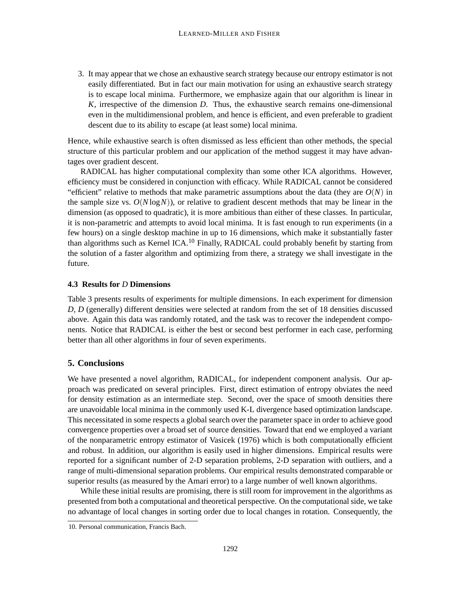3. It may appear that we chose an exhaustive search strategy because our entropy estimator is not easily differentiated. But in fact our main motivation for using an exhaustive search strategy is to escape local minima. Furthermore, we emphasize again that our algorithm is linear in *K*, irrespective of the dimension *D*. Thus, the exhaustive search remains one-dimensional even in the multidimensional problem, and hence is efficient, and even preferable to gradient descent due to its ability to escape (at least some) local minima.

Hence, while exhaustive search is often dismissed as less efficient than other methods, the special structure of this particular problem and our application of the method suggest it may have advantages over gradient descent.

RADICAL has higher computational complexity than some other ICA algorithms. However, efficiency must be considered in conjunction with efficacy. While RADICAL cannot be considered "efficient" relative to methods that make parametric assumptions about the data (they are  $O(N)$  in the sample size vs.  $O(N \log N)$ , or relative to gradient descent methods that may be linear in the dimension (as opposed to quadratic), it is more ambitious than either of these classes. In particular, it is non-parametric and attempts to avoid local minima. It is fast enough to run experiments (in a few hours) on a single desktop machine in up to 16 dimensions, which make it substantially faster than algorithms such as Kernel ICA.<sup>10</sup> Finally, RADICAL could probably benefit by starting from the solution of a faster algorithm and optimizing from there, a strategy we shall investigate in the future.

#### **4.3 Results for** *D* **Dimensions**

Table 3 presents results of experiments for multiple dimensions. In each experiment for dimension *D*, *D* (generally) different densities were selected at random from the set of 18 densities discussed above. Again this data was randomly rotated, and the task was to recover the independent components. Notice that RADICAL is either the best or second best performer in each case, performing better than all other algorithms in four of seven experiments.

#### **5. Conclusions**

We have presented a novel algorithm, RADICAL, for independent component analysis. Our approach was predicated on several principles. First, direct estimation of entropy obviates the need for density estimation as an intermediate step. Second, over the space of smooth densities there are unavoidable local minima in the commonly used K-L divergence based optimization landscape. This necessitated in some respects a global search over the parameter space in order to achieve good convergence properties over a broad set of source densities. Toward that end we employed a variant of the nonparametric entropy estimator of Vasicek (1976) which is both computationally efficient and robust. In addition, our algorithm is easily used in higher dimensions. Empirical results were reported for a significant number of 2-D separation problems, 2-D separation with outliers, and a range of multi-dimensional separation problems. Our empirical results demonstrated comparable or superior results (as measured by the Amari error) to a large number of well known algorithms.

While these initial results are promising, there is still room for improvement in the algorithms as presented from both a computational and theoretical perspective. On the computationalside, we take no advantage of local changes in sorting order due to local changes in rotation. Consequently, the

<sup>10.</sup> Personal communication, Francis Bach.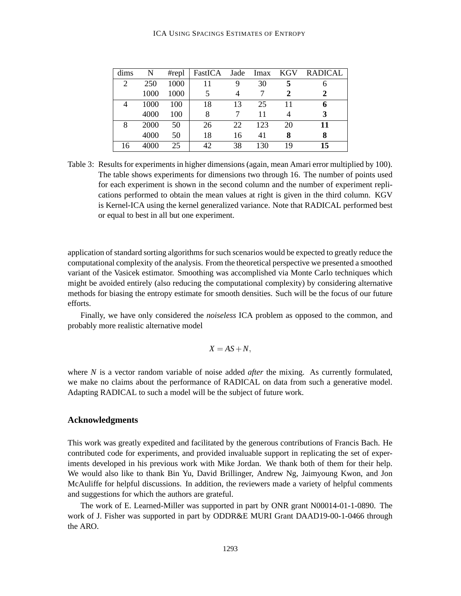#### ICA USING SPACINGS ESTIMATES OF ENTROPY

| dims           | N    | #repl | FastICA | Jade | Imax | <b>KGV</b> | <b>RADICAL</b> |
|----------------|------|-------|---------|------|------|------------|----------------|
| $\overline{c}$ | 250  | 1000  | 11      | 9    | 30   | 5          | n              |
|                | 1000 | 1000  | 5       |      |      | 2          | 2              |
| 4              | 1000 | 100   | 18      | 13   | 25   | 11         | 6              |
|                | 4000 | 100   | 8       |      | 11   |            | 3              |
| 8              | 2000 | 50    | 26      | 22   | 123  | 20         | 11             |
|                | 4000 | 50    | 18      | 16   | 41   | 8          | 8              |
| 16             | 4000 | 25    | 42      | 38   | 130  | 19         | 15             |

Table 3: Results for experiments in higher dimensions (again, mean Amari error multiplied by 100). The table shows experiments for dimensions two through 16. The number of points used for each experiment is shown in the second column and the number of experiment replications performed to obtain the mean values at right is given in the third column. KGV is Kernel-ICA using the kernel generalized variance. Note that RADICAL performed best or equal to best in all but one experiment.

application of standard sorting algorithms for such scenarios would be expected to greatly reduce the computational complexity of the analysis. From the theoretical perspective we presented a smoothed variant of the Vasicek estimator. Smoothing was accomplished via Monte Carlo techniques which might be avoided entirely (also reducing the computational complexity) by considering alternative methods for biasing the entropy estimate for smooth densities. Such will be the focus of our future efforts.

Finally, we have only considered the *noiseless* ICA problem as opposed to the common, and probably more realistic alternative model

$$
X = AS + N,
$$

where *N* is a vector random variable of noise added *after* the mixing. As currently formulated, we make no claims about the performance of RADICAL on data from such a generative model. Adapting RADICAL to such a model will be the subject of future work.

# **Acknowledgments**

This work was greatly expedited and facilitated by the generous contributions of Francis Bach. He contributed code for experiments, and provided invaluable support in replicating the set of experiments developed in his previous work with Mike Jordan. We thank both of them for their help. We would also like to thank Bin Yu, David Brillinger, Andrew Ng, Jaimyoung Kwon, and Jon McAuliffe for helpful discussions. In addition, the reviewers made a variety of helpful comments and suggestions for which the authors are grateful.

The work of E. Learned-Miller was supported in part by ONR grant N00014-01-1-0890. The work of J. Fisher was supported in part by ODDR&E MURI Grant DAAD19-00-1-0466 through the ARO.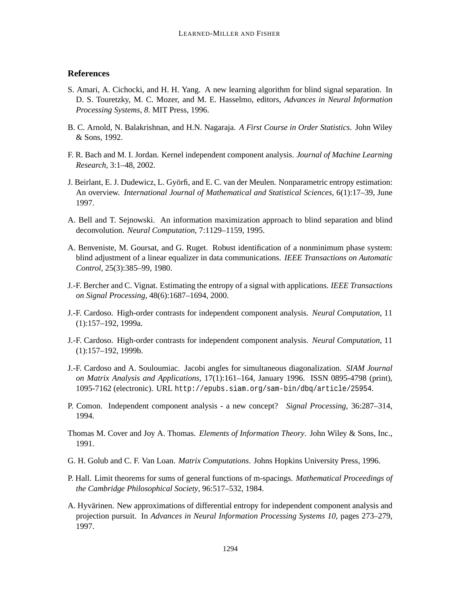# **References**

- S. Amari, A. Cichocki, and H. H. Yang. A new learning algorithm for blind signal separation. In D. S. Touretzky, M. C. Mozer, and M. E. Hasselmo, editors, *Advances in Neural Information Processing Systems, 8*. MIT Press, 1996.
- B. C. Arnold, N. Balakrishnan, and H.N. Nagaraja. *A First Course in Order Statistics*. John Wiley & Sons, 1992.
- F. R. Bach and M. I. Jordan. Kernel independent component analysis. *Journal of Machine Learning Research*, 3:1–48, 2002.
- J. Beirlant, E. J. Dudewicz, L. Györfi, and E. C. van der Meulen. Nonparametric entropy estimation: An overview. *International Journal of Mathematical and Statistical Sciences*, 6(1):17–39, June 1997.
- A. Bell and T. Sejnowski. An information maximization approach to blind separation and blind deconvolution. *Neural Computation*, 7:1129–1159, 1995.
- A. Benveniste, M. Goursat, and G. Ruget. Robust identification of a nonminimum phase system: blind adjustment of a linear equalizer in data communications. *IEEE Transactions on Automatic Control*, 25(3):385–99, 1980.
- J.-F. Bercher and C. Vignat. Estimating the entropy of a signal with applications. *IEEE Transactions on Signal Processing*, 48(6):1687–1694, 2000.
- J.-F. Cardoso. High-order contrasts for independent component analysis. *Neural Computation*, 11 (1):157–192, 1999a.
- J.-F. Cardoso. High-order contrasts for independent component analysis. *Neural Computation*, 11 (1):157–192, 1999b.
- J.-F. Cardoso and A. Souloumiac. Jacobi angles for simultaneous diagonalization. *SIAM Journal on Matrix Analysis and Applications*, 17(1):161–164, January 1996. ISSN 0895-4798 (print), 1095-7162 (electronic). URL http://epubs.siam.org/sam-bin/dbq/article/25954.
- P. Comon. Independent component analysis a new concept? *Signal Processing*, 36:287–314, 1994.
- Thomas M. Cover and Joy A. Thomas. *Elements of Information Theory*. John Wiley & Sons, Inc., 1991.
- G. H. Golub and C. F. Van Loan. *Matrix Computations*. Johns Hopkins University Press, 1996.
- P. Hall. Limit theorems for sums of general functions of m-spacings. *Mathematical Proceedings of the Cambridge Philosophical Society*, 96:517–532, 1984.
- A. Hyvärinen. New approximations of differential entropy for independent component analysis and projection pursuit. In *Advances in Neural Information Processing Systems 10*, pages 273–279, 1997.